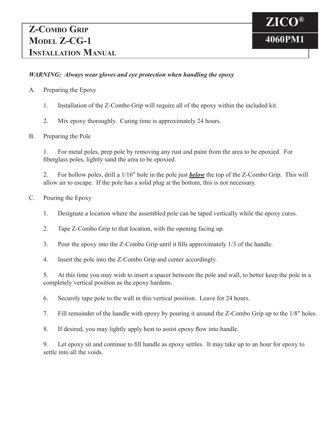## *WARNING: Always wear gloves and eye protection when handling the epoxy*

- A. Preparing the Epoxy
	- 1. Installation of the Z-Combo Grip will require all of the epoxy within the included kit.
	- 2. Mix epoxy thoroughly. Curing time is approximately 24 hours.

## B. Preparing the Pole

1. For metal poles, prep pole by removing any rust and paint from the area to be epoxied. For fiberglass poles, lightly sand the area to be epoxied.

2. For hollow poles, drill a 1/16" hole in the pole just *below* the top of the Z-Combo Grip. This will allow air to escape. If the pole has a solid plug at the bottom, this is not necessary.

- C. Pouring the Epoxy
	- 1. Designate a location where the assembled pole can be taped vertically while the epoxy cures.
	- 2. Tape Z-Combo Grip to that location, with the opening facing up.
	- 3. Pour the epoxy into the Z-Combo Grip until it fills approximately 1/3 of the handle.
	- 4. Insert the pole into the Z-Combo Grip and center accordingly.

5. At this time you may wish to insert a spacer between the pole and wall, to better keep the pole in a completely vertical position as the epoxy hardens.

6. Securely tape pole to the wall in this vertical position. Leave for 24 hours.

7. Fill remainder of the handle with epoxy by pouring it around the Z-Combo Grip up to the 1/8" holes.

8. If desired, you may lightly apply heat to assist epoxy flow into handle.

 9. Let epoxy sit and continue to fill handle as epoxy settles. It may take up to an hour for epoxy to settle into all the voids.